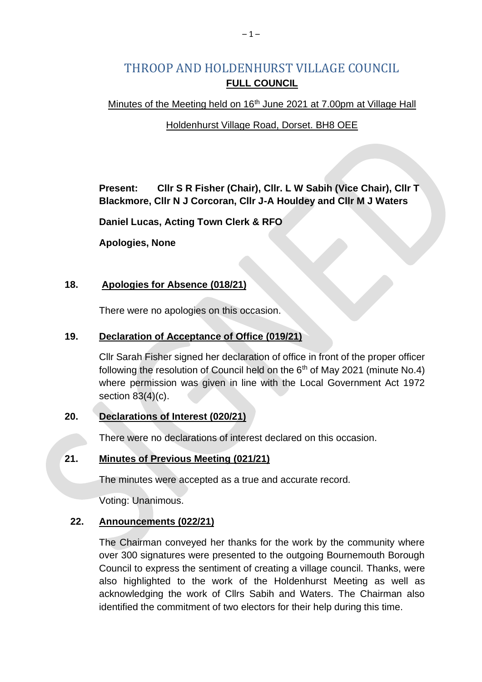# THROOP AND HOLDENHURST VILLAGE COUNCIL **FULL COUNCIL**

Minutes of the Meeting held on 16<sup>th</sup> June 2021 at 7.00pm at Village Hall

### Holdenhurst Village Road, Dorset. BH8 OEE

**Present: Cllr S R Fisher (Chair), Cllr. L W Sabih (Vice Chair), Cllr T Blackmore, Cllr N J Corcoran, Cllr J-A Houldey and Cllr M J Waters**

**Daniel Lucas, Acting Town Clerk & RFO**

**Apologies, None**

### **18. Apologies for Absence (018/21)**

There were no apologies on this occasion.

### **19. Declaration of Acceptance of Office (019/21)**

Cllr Sarah Fisher signed her declaration of office in front of the proper officer following the resolution of Council held on the  $6<sup>th</sup>$  of May 2021 (minute No.4) where permission was given in line with the Local Government Act 1972 section 83(4)(c).

# **20. Declarations of Interest (020/21)**

There were no declarations of interest declared on this occasion.

# **21. Minutes of Previous Meeting (021/21)**

The minutes were accepted as a true and accurate record.

Voting: Unanimous.

# **22. Announcements (022/21)**

The Chairman conveyed her thanks for the work by the community where over 300 signatures were presented to the outgoing Bournemouth Borough Council to express the sentiment of creating a village council. Thanks, were also highlighted to the work of the Holdenhurst Meeting as well as acknowledging the work of Cllrs Sabih and Waters. The Chairman also identified the commitment of two electors for their help during this time.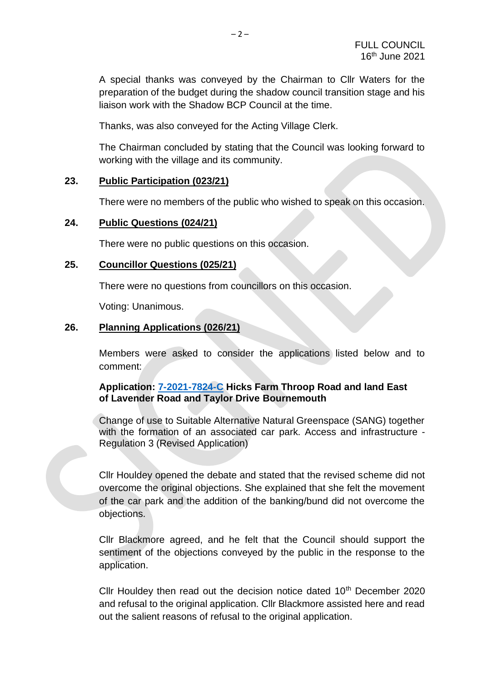A special thanks was conveyed by the Chairman to Cllr Waters for the preparation of the budget during the shadow council transition stage and his liaison work with the Shadow BCP Council at the time.

Thanks, was also conveyed for the Acting Village Clerk.

The Chairman concluded by stating that the Council was looking forward to working with the village and its community.

#### **23. Public Participation (023/21)**

There were no members of the public who wished to speak on this occasion.

#### **24. Public Questions (024/21)**

There were no public questions on this occasion.

#### **25. Councillor Questions (025/21)**

There were no questions from councillors on this occasion.

Voting: Unanimous.

### **26. Planning Applications (026/21)**

Members were asked to consider the applications listed below and to comment:

#### **Application: [7-2021-7824-C](https://planning.bournemouth.gov.uk/plandisp.aspx?recno=102223) Hicks Farm Throop Road and land East of Lavender Road and Taylor Drive Bournemouth**

Change of use to Suitable Alternative Natural Greenspace (SANG) together with the formation of an associated car park. Access and infrastructure - Regulation 3 (Revised Application)

Cllr Houldey opened the debate and stated that the revised scheme did not overcome the original objections. She explained that she felt the movement of the car park and the addition of the banking/bund did not overcome the objections.

Cllr Blackmore agreed, and he felt that the Council should support the sentiment of the objections conveyed by the public in the response to the application.

Cllr Houldey then read out the decision notice dated  $10<sup>th</sup>$  December 2020 and refusal to the original application. Cllr Blackmore assisted here and read out the salient reasons of refusal to the original application.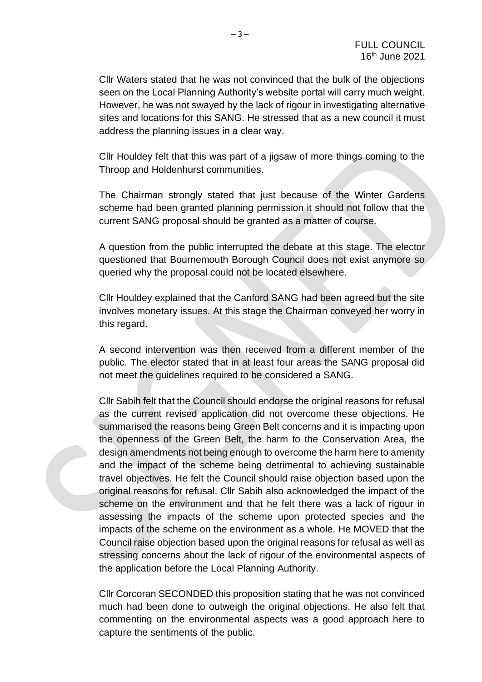Cllr Waters stated that he was not convinced that the bulk of the objections seen on the Local Planning Authority's website portal will carry much weight. However, he was not swayed by the lack of rigour in investigating alternative sites and locations for this SANG. He stressed that as a new council it must address the planning issues in a clear way.

Cllr Houldey felt that this was part of a jigsaw of more things coming to the Throop and Holdenhurst communities.

The Chairman strongly stated that just because of the Winter Gardens scheme had been granted planning permission it should not follow that the current SANG proposal should be granted as a matter of course.

A question from the public interrupted the debate at this stage. The elector questioned that Bournemouth Borough Council does not exist anymore so queried why the proposal could not be located elsewhere.

Cllr Houldey explained that the Canford SANG had been agreed but the site involves monetary issues. At this stage the Chairman conveyed her worry in this regard.

A second intervention was then received from a different member of the public. The elector stated that in at least four areas the SANG proposal did not meet the guidelines required to be considered a SANG.

Cllr Sabih felt that the Council should endorse the original reasons for refusal as the current revised application did not overcome these objections. He summarised the reasons being Green Belt concerns and it is impacting upon the openness of the Green Belt, the harm to the Conservation Area, the design amendments not being enough to overcome the harm here to amenity and the impact of the scheme being detrimental to achieving sustainable travel objectives. He felt the Council should raise objection based upon the original reasons for refusal. Cllr Sabih also acknowledged the impact of the scheme on the environment and that he felt there was a lack of rigour in assessing the impacts of the scheme upon protected species and the impacts of the scheme on the environment as a whole. He MOVED that the Council raise objection based upon the original reasons for refusal as well as stressing concerns about the lack of rigour of the environmental aspects of the application before the Local Planning Authority.

Cllr Corcoran SECONDED this proposition stating that he was not convinced much had been done to outweigh the original objections. He also felt that commenting on the environmental aspects was a good approach here to capture the sentiments of the public.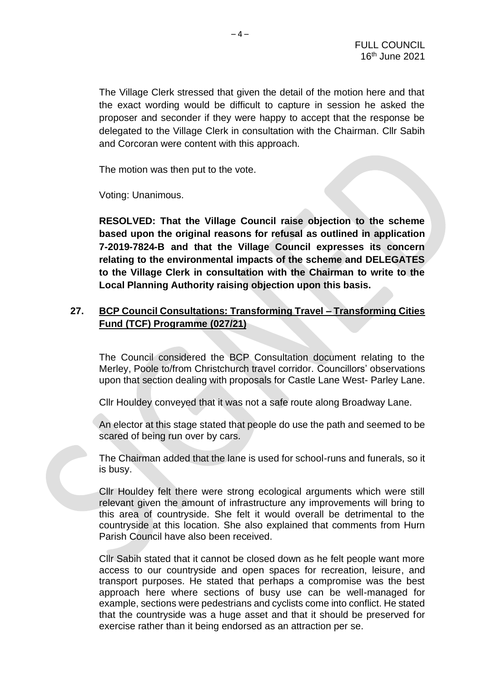The Village Clerk stressed that given the detail of the motion here and that the exact wording would be difficult to capture in session he asked the proposer and seconder if they were happy to accept that the response be delegated to the Village Clerk in consultation with the Chairman. Cllr Sabih and Corcoran were content with this approach.

The motion was then put to the vote.

Voting: Unanimous.

**RESOLVED: That the Village Council raise objection to the scheme based upon the original reasons for refusal as outlined in application 7-2019-7824-B and that the Village Council expresses its concern relating to the environmental impacts of the scheme and DELEGATES to the Village Clerk in consultation with the Chairman to write to the Local Planning Authority raising objection upon this basis.** 

### **27. BCP Council Consultations: Transforming Travel – Transforming Cities Fund (TCF) Programme (027/21)**

The Council considered the BCP Consultation document relating to the Merley, Poole to/from Christchurch travel corridor. Councillors' observations upon that section dealing with proposals for Castle Lane West- Parley Lane.

Cllr Houldey conveyed that it was not a safe route along Broadway Lane.

An elector at this stage stated that people do use the path and seemed to be scared of being run over by cars.

The Chairman added that the lane is used for school-runs and funerals, so it is busy.

Cllr Houldey felt there were strong ecological arguments which were still relevant given the amount of infrastructure any improvements will bring to this area of countryside. She felt it would overall be detrimental to the countryside at this location. She also explained that comments from Hurn Parish Council have also been received.

Cllr Sabih stated that it cannot be closed down as he felt people want more access to our countryside and open spaces for recreation, leisure, and transport purposes. He stated that perhaps a compromise was the best approach here where sections of busy use can be well-managed for example, sections were pedestrians and cyclists come into conflict. He stated that the countryside was a huge asset and that it should be preserved for exercise rather than it being endorsed as an attraction per se.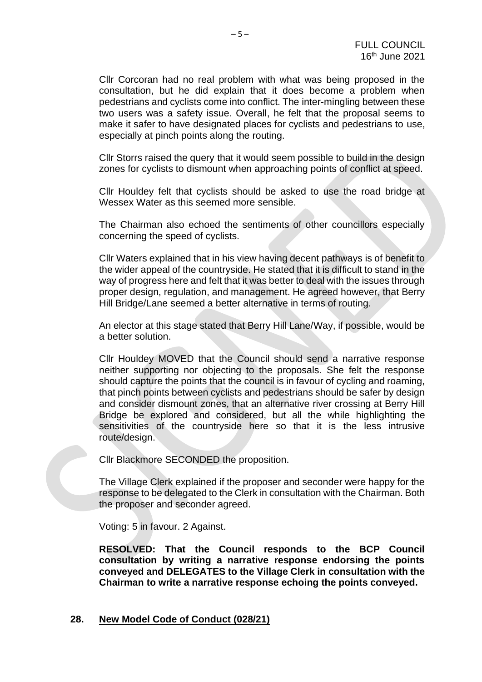Cllr Corcoran had no real problem with what was being proposed in the consultation, but he did explain that it does become a problem when pedestrians and cyclists come into conflict. The inter-mingling between these two users was a safety issue. Overall, he felt that the proposal seems to make it safer to have designated places for cyclists and pedestrians to use, especially at pinch points along the routing.

Cllr Storrs raised the query that it would seem possible to build in the design zones for cyclists to dismount when approaching points of conflict at speed.

Cllr Houldey felt that cyclists should be asked to use the road bridge at Wessex Water as this seemed more sensible.

The Chairman also echoed the sentiments of other councillors especially concerning the speed of cyclists.

Cllr Waters explained that in his view having decent pathways is of benefit to the wider appeal of the countryside. He stated that it is difficult to stand in the way of progress here and felt that it was better to deal with the issues through proper design, regulation, and management. He agreed however, that Berry Hill Bridge/Lane seemed a better alternative in terms of routing.

An elector at this stage stated that Berry Hill Lane/Way, if possible, would be a better solution.

Cllr Houldey MOVED that the Council should send a narrative response neither supporting nor objecting to the proposals. She felt the response should capture the points that the council is in favour of cycling and roaming, that pinch points between cyclists and pedestrians should be safer by design and consider dismount zones, that an alternative river crossing at Berry Hill Bridge be explored and considered, but all the while highlighting the sensitivities of the countryside here so that it is the less intrusive route/design.

Cllr Blackmore SECONDED the proposition.

The Village Clerk explained if the proposer and seconder were happy for the response to be delegated to the Clerk in consultation with the Chairman. Both the proposer and seconder agreed.

Voting: 5 in favour. 2 Against.

**RESOLVED: That the Council responds to the BCP Council consultation by writing a narrative response endorsing the points conveyed and DELEGATES to the Village Clerk in consultation with the Chairman to write a narrative response echoing the points conveyed.** 

#### **28. New Model Code of Conduct (028/21)**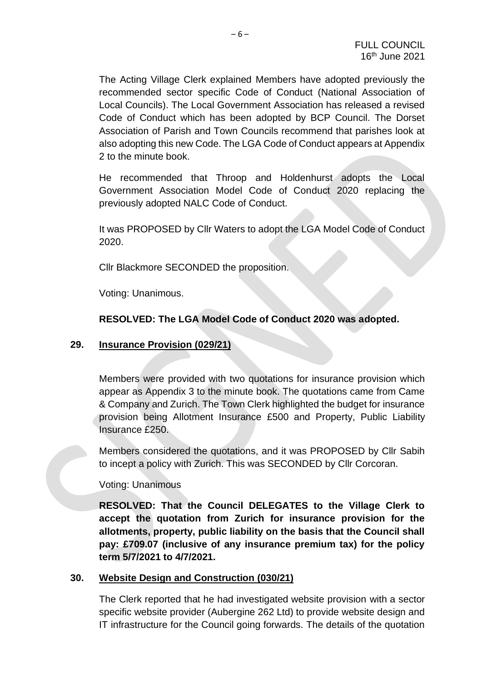The Acting Village Clerk explained Members have adopted previously the recommended sector specific Code of Conduct (National Association of Local Councils). The Local Government Association has released a revised Code of Conduct which has been adopted by BCP Council. The Dorset Association of Parish and Town Councils recommend that parishes look at also adopting this new Code. The LGA Code of Conduct appears at Appendix 2 to the minute book.

He recommended that Throop and Holdenhurst adopts the Local Government Association Model Code of Conduct 2020 replacing the previously adopted NALC Code of Conduct.

It was PROPOSED by Cllr Waters to adopt the LGA Model Code of Conduct 2020.

Cllr Blackmore SECONDED the proposition.

Voting: Unanimous.

### **RESOLVED: The LGA Model Code of Conduct 2020 was adopted.**

#### **29. Insurance Provision (029/21)**

Members were provided with two quotations for insurance provision which appear as Appendix 3 to the minute book. The quotations came from Came & Company and Zurich. The Town Clerk highlighted the budget for insurance provision being Allotment Insurance £500 and Property, Public Liability Insurance £250.

Members considered the quotations, and it was PROPOSED by Cllr Sabih to incept a policy with Zurich. This was SECONDED by Cllr Corcoran.

Voting: Unanimous

**RESOLVED: That the Council DELEGATES to the Village Clerk to accept the quotation from Zurich for insurance provision for the allotments, property, public liability on the basis that the Council shall pay: £709.07 (inclusive of any insurance premium tax) for the policy term 5/7/2021 to 4/7/2021.**

### **30. Website Design and Construction (030/21)**

The Clerk reported that he had investigated website provision with a sector specific website provider (Aubergine 262 Ltd) to provide website design and IT infrastructure for the Council going forwards. The details of the quotation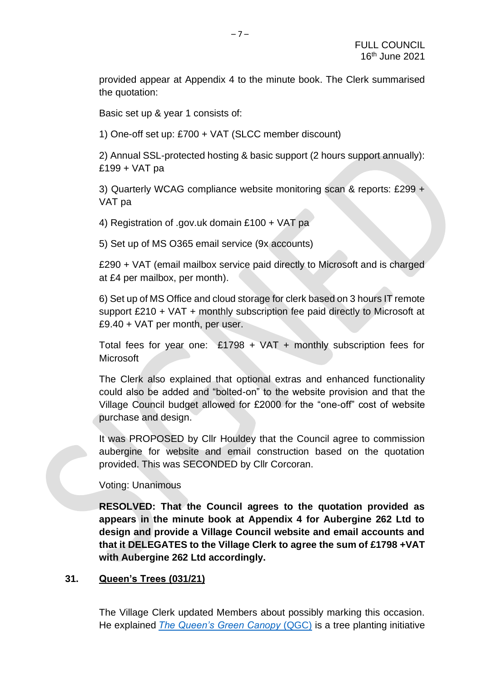provided appear at Appendix 4 to the minute book. The Clerk summarised the quotation:

Basic set up & year 1 consists of:

1) One-off set up: £700 + VAT (SLCC member discount)

2) Annual SSL-protected hosting & basic support (2 hours support annually): £199 + VAT pa

3) Quarterly WCAG compliance website monitoring scan & reports: £299 + VAT pa

4) Registration of .gov.uk domain £100 + VAT pa

5) Set up of MS O365 email service (9x accounts)

£290 + VAT (email mailbox service paid directly to Microsoft and is charged at £4 per mailbox, per month).

6) Set up of MS Office and cloud storage for clerk based on 3 hours IT remote support £210 + VAT + monthly subscription fee paid directly to Microsoft at £9.40 + VAT per month, per user.

Total fees for year one: £1798 + VAT + monthly subscription fees for **Microsoft** 

The Clerk also explained that optional extras and enhanced functionality could also be added and "bolted-on" to the website provision and that the Village Council budget allowed for £2000 for the "one-off" cost of website purchase and design.

It was PROPOSED by Cllr Houldey that the Council agree to commission aubergine for website and email construction based on the quotation provided. This was SECONDED by Cllr Corcoran.

Voting: Unanimous

**RESOLVED: That the Council agrees to the quotation provided as appears in the minute book at Appendix 4 for Aubergine 262 Ltd to design and provide a Village Council website and email accounts and that it DELEGATES to the Village Clerk to agree the sum of £1798 +VAT with Aubergine 262 Ltd accordingly.** 

### **31. Queen's Trees (031/21)**

The Village Clerk updated Members about possibly marking this occasion. He explained *[The Queen's Green Canopy](https://queensgreencanopy.org/)* (QGC) is a tree planting initiative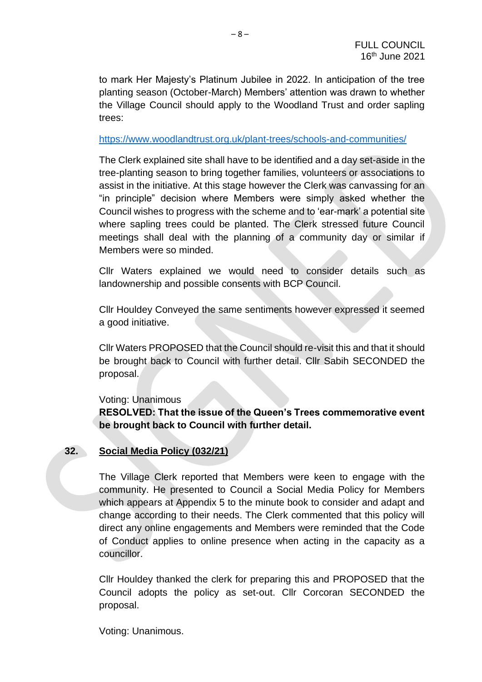to mark Her Majesty's Platinum Jubilee in 2022. In anticipation of the tree planting season (October-March) Members' attention was drawn to whether the Village Council should apply to the Woodland Trust and order sapling trees:

#### <https://www.woodlandtrust.org.uk/plant-trees/schools-and-communities/>

The Clerk explained site shall have to be identified and a day set-aside in the tree-planting season to bring together families, volunteers or associations to assist in the initiative. At this stage however the Clerk was canvassing for an "in principle" decision where Members were simply asked whether the Council wishes to progress with the scheme and to 'ear-mark' a potential site where sapling trees could be planted. The Clerk stressed future Council meetings shall deal with the planning of a community day or similar if Members were so minded.

Cllr Waters explained we would need to consider details such as landownership and possible consents with BCP Council.

Cllr Houldey Conveyed the same sentiments however expressed it seemed a good initiative.

Cllr Waters PROPOSED that the Council should re-visit this and that it should be brought back to Council with further detail. Cllr Sabih SECONDED the proposal.

#### Voting: Unanimous

**RESOLVED: That the issue of the Queen's Trees commemorative event be brought back to Council with further detail.**

# **32. Social Media Policy (032/21)**

The Village Clerk reported that Members were keen to engage with the community. He presented to Council a Social Media Policy for Members which appears at Appendix 5 to the minute book to consider and adapt and change according to their needs. The Clerk commented that this policy will direct any online engagements and Members were reminded that the Code of Conduct applies to online presence when acting in the capacity as a councillor.

Cllr Houldey thanked the clerk for preparing this and PROPOSED that the Council adopts the policy as set-out. Cllr Corcoran SECONDED the proposal.

Voting: Unanimous.